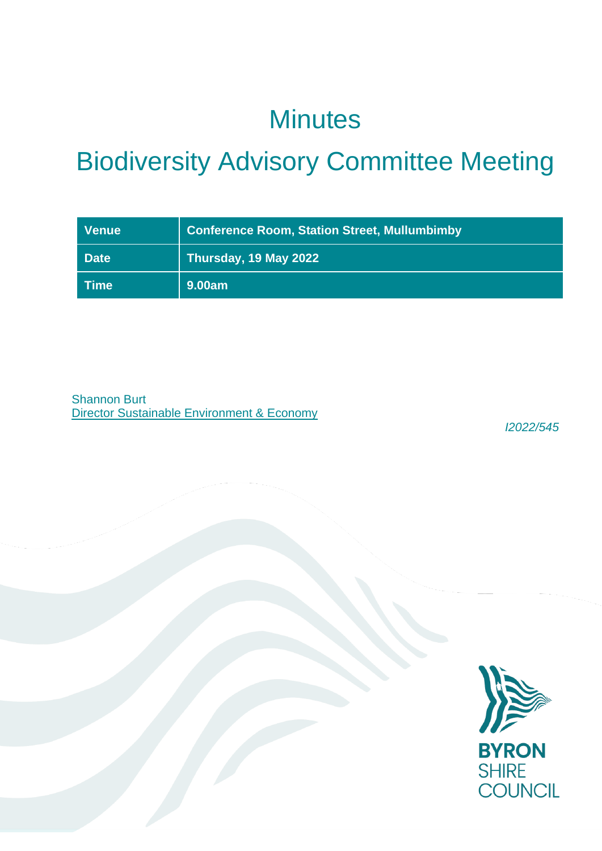## **Minutes**

# Biodiversity Advisory Committee Meeting

| <b>Venue</b> | <b>Conference Room, Station Street, Mullumbimby</b> |
|--------------|-----------------------------------------------------|
| <b>Date</b>  | Thursday, 19 May 2022                               |
| ∣Time        | 9.00am                                              |

Shannon Burt **Director Sustainable Environment & Economy** 

*I2022/545*

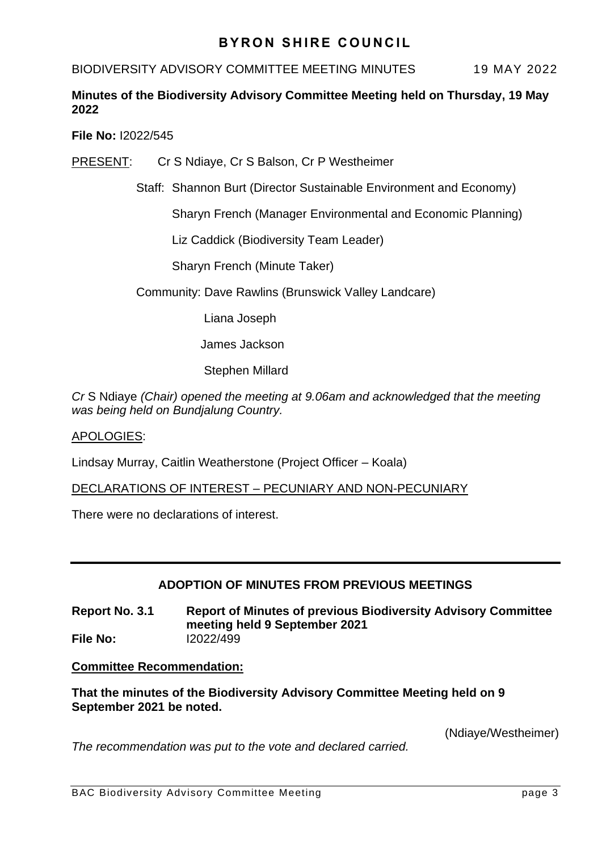## **BYRON SHIRE COUNCIL**

#### BIODIVERSITY ADVISORY COMMITTEE MEETING MINUTES 19 MAY 2022

### **Minutes of the Biodiversity Advisory Committee Meeting held on Thursday, 19 May 2022**

**File No:** I2022/545

PRESENT: Cr S Ndiaye, Cr S Balson, Cr P Westheimer

Staff: Shannon Burt (Director Sustainable Environment and Economy)

Sharyn French (Manager Environmental and Economic Planning)

Liz Caddick (Biodiversity Team Leader)

Sharyn French (Minute Taker)

Community: Dave Rawlins (Brunswick Valley Landcare)

Liana Joseph

James Jackson

Stephen Millard

*Cr* S Ndiaye *(Chair) opened the meeting at 9.06am and acknowledged that the meeting was being held on Bundjalung Country.*

#### APOLOGIES:

Lindsay Murray, Caitlin Weatherstone (Project Officer – Koala)

DECLARATIONS OF INTEREST – PECUNIARY AND NON-PECUNIARY

There were no declarations of interest.

#### **ADOPTION OF MINUTES FROM PREVIOUS MEETINGS**

**Report No. 3.1 Report of Minutes of previous Biodiversity Advisory Committee meeting held 9 September 2021 File No:** I2022/499

#### **Committee Recommendation:**

**That the minutes of the Biodiversity Advisory Committee Meeting held on 9 September 2021 be noted.** 

(Ndiaye/Westheimer)

*The recommendation was put to the vote and declared carried.*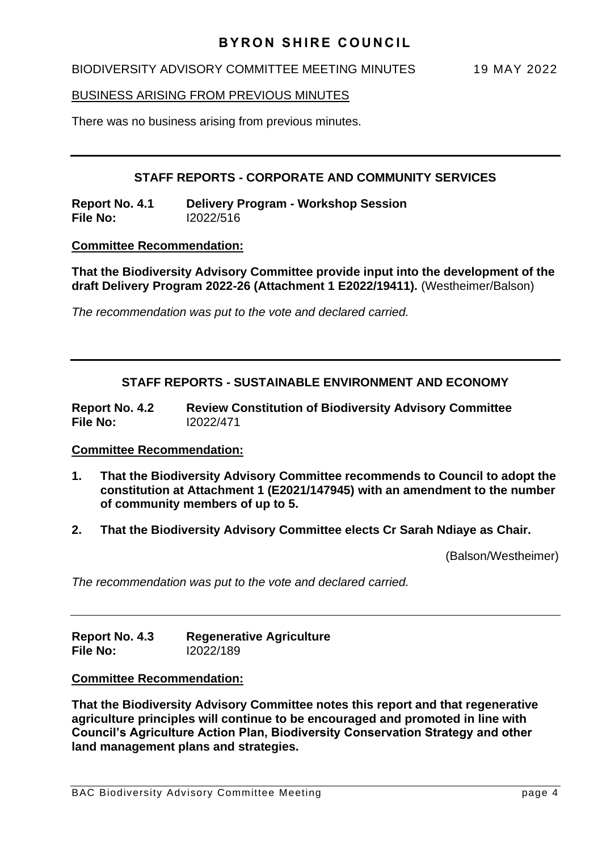#### BIODIVERSITY ADVISORY COMMITTEE MEETING MINUTES 19 MAY 2022

#### BUSINESS ARISING FROM PREVIOUS MINUTES

There was no business arising from previous minutes.

#### **STAFF REPORTS - CORPORATE AND COMMUNITY SERVICES**

**Report No. 4.1 Delivery Program - Workshop Session File No:** I2022/516

#### **Committee Recommendation:**

**That the Biodiversity Advisory Committee provide input into the development of the draft Delivery Program 2022-26 (Attachment 1 E2022/19411).** (Westheimer/Balson)

*The recommendation was put to the vote and declared carried.*

#### **STAFF REPORTS - SUSTAINABLE ENVIRONMENT AND ECONOMY**

**Report No. 4.2 Review Constitution of Biodiversity Advisory Committee File No:** I2022/471

#### **Committee Recommendation:**

- **1. That the Biodiversity Advisory Committee recommends to Council to adopt the constitution at Attachment 1 (E2021/147945) with an amendment to the number of community members of up to 5.**
- **2. That the Biodiversity Advisory Committee elects Cr Sarah Ndiaye as Chair.**

(Balson/Westheimer)

*The recommendation was put to the vote and declared carried.*

**Report No. 4.3 Regenerative Agriculture File No:** I2022/189

**Committee Recommendation:** 

**That the Biodiversity Advisory Committee notes this report and that regenerative agriculture principles will continue to be encouraged and promoted in line with Council's Agriculture Action Plan, Biodiversity Conservation Strategy and other land management plans and strategies.**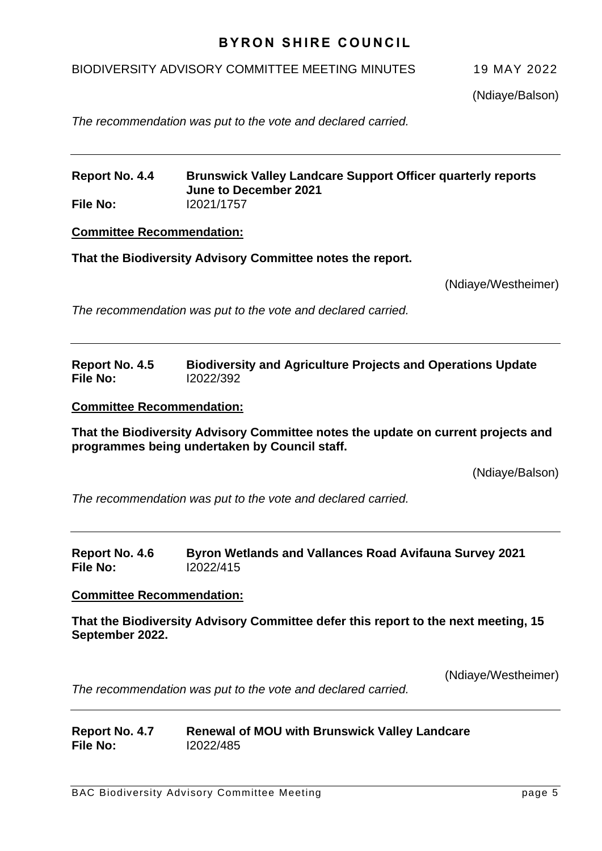## **BYRON SHIRE COUNCIL**

#### BIODIVERSITY ADVISORY COMMITTEE MEETING MINUTES 19 MAY 2022

(Ndiaye/Balson)

*The recommendation was put to the vote and declared carried.*

#### **Report No. 4.4 Brunswick Valley Landcare Support Officer quarterly reports June to December 2021 File No:** I2021/1757

**Committee Recommendation:** 

**That the Biodiversity Advisory Committee notes the report.**

(Ndiaye/Westheimer)

*The recommendation was put to the vote and declared carried.*

#### **Report No. 4.5 Biodiversity and Agriculture Projects and Operations Update File No:** I2022/392

#### **Committee Recommendation:**

**That the Biodiversity Advisory Committee notes the update on current projects and programmes being undertaken by Council staff.**

(Ndiaye/Balson)

*The recommendation was put to the vote and declared carried.*

#### **Report No. 4.6 Byron Wetlands and Vallances Road Avifauna Survey 2021 File No:** I2022/415

#### **Committee Recommendation:**

**That the Biodiversity Advisory Committee defer this report to the next meeting, 15 September 2022.**

(Ndiaye/Westheimer)

*The recommendation was put to the vote and declared carried.*

| Report No. 4.7 | <b>Renewal of MOU with Brunswick Valley Landcare</b> |
|----------------|------------------------------------------------------|
| File No:       | 12022/485                                            |